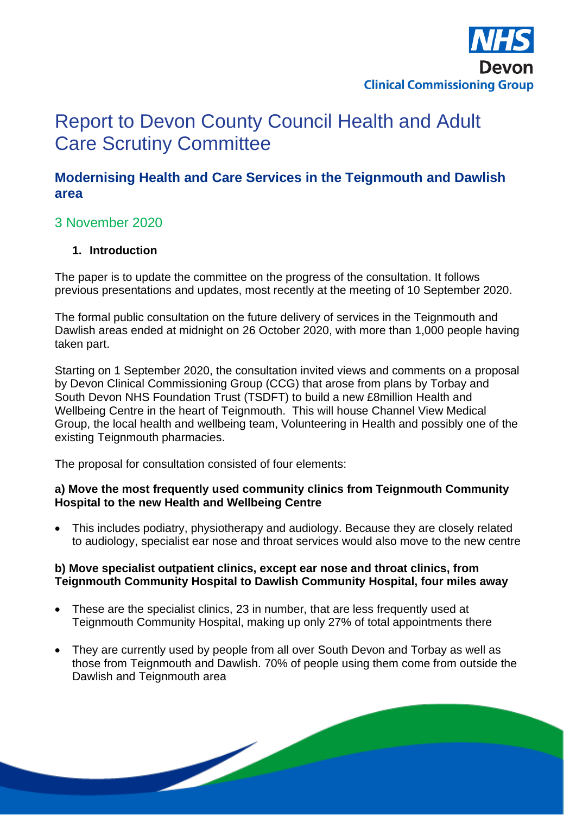

# Report to Devon County Council Health and Adult Care Scrutiny Committee

## **Modernising Health and Care Services in the Teignmouth and Dawlish area**

## 3 November 2020

#### **1. Introduction**

The paper is to update the committee on the progress of the consultation. It follows previous presentations and updates, most recently at the meeting of 10 September 2020.

The formal public consultation on the future delivery of services in the Teignmouth and Dawlish areas ended at midnight on 26 October 2020, with more than 1,000 people having taken part.

Starting on 1 September 2020, the consultation invited views and comments on a proposal by Devon Clinical Commissioning Group (CCG) that arose from plans by Torbay and South Devon NHS Foundation Trust (TSDFT) to build a new £8million Health and Wellbeing Centre in the heart of Teignmouth. This will house Channel View Medical Group, the local health and wellbeing team, Volunteering in Health and possibly one of the existing Teignmouth pharmacies.

The proposal for consultation consisted of four elements:

 $\overline{\phantom{a}}$ 

#### **a) Move the most frequently used community clinics from Teignmouth Community Hospital to the new Health and Wellbeing Centre**

• This includes podiatry, physiotherapy and audiology. Because they are closely related to audiology, specialist ear nose and throat services would also move to the new centre

#### **b) Move specialist outpatient clinics, except ear nose and throat clinics, from Teignmouth Community Hospital to Dawlish Community Hospital, four miles away**

- These are the specialist clinics, 23 in number, that are less frequently used at Teignmouth Community Hospital, making up only 27% of total appointments there
- They are currently used by people from all over South Devon and Torbay as well as those from Teignmouth and Dawlish. 70% of people using them come from outside the Dawlish and Teignmouth area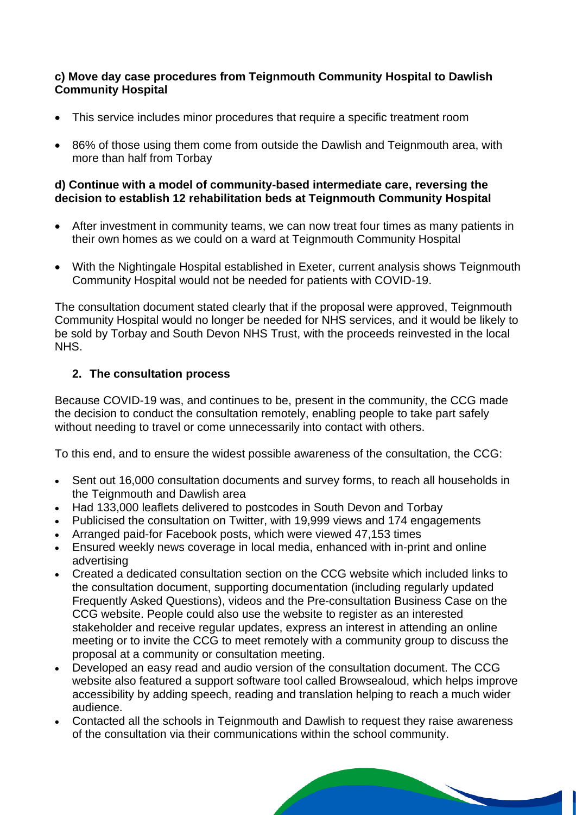#### **c) Move day case procedures from Teignmouth Community Hospital to Dawlish Community Hospital**

- This service includes minor procedures that require a specific treatment room
- 86% of those using them come from outside the Dawlish and Teignmouth area, with more than half from Torbay

#### **d) Continue with a model of community-based intermediate care, reversing the decision to establish 12 rehabilitation beds at Teignmouth Community Hospital**

- After investment in community teams, we can now treat four times as many patients in their own homes as we could on a ward at Teignmouth Community Hospital
- With the Nightingale Hospital established in Exeter, current analysis shows Teignmouth Community Hospital would not be needed for patients with COVID-19.

The consultation document stated clearly that if the proposal were approved, Teignmouth Community Hospital would no longer be needed for NHS services, and it would be likely to be sold by Torbay and South Devon NHS Trust, with the proceeds reinvested in the local NHS.

#### **2. The consultation process**

Because COVID-19 was, and continues to be, present in the community, the CCG made the decision to conduct the consultation remotely, enabling people to take part safely without needing to travel or come unnecessarily into contact with others.

To this end, and to ensure the widest possible awareness of the consultation, the CCG:

- Sent out 16,000 consultation documents and survey forms, to reach all households in the Teignmouth and Dawlish area
- Had 133,000 leaflets delivered to postcodes in South Devon and Torbay
- Publicised the consultation on Twitter, with 19,999 views and 174 engagements
- Arranged paid-for Facebook posts, which were viewed 47,153 times
- Ensured weekly news coverage in local media, enhanced with in-print and online advertising
- Created a dedicated consultation section on the CCG website which included links to the consultation document, supporting documentation (including regularly updated Frequently Asked Questions), videos and the Pre-consultation Business Case on the CCG website. People could also use the website to register as an interested stakeholder and receive regular updates, express an interest in attending an online meeting or to invite the CCG to meet remotely with a community group to discuss the proposal at a community or consultation meeting.
- Developed an easy read and audio version of the consultation document. The CCG website also featured a support software tool called Browsealoud, which helps improve accessibility by adding speech, reading and translation helping to reach a much wider audience.
- Contacted all the schools in Teignmouth and Dawlish to request they raise awareness of the consultation via their communications within the school community.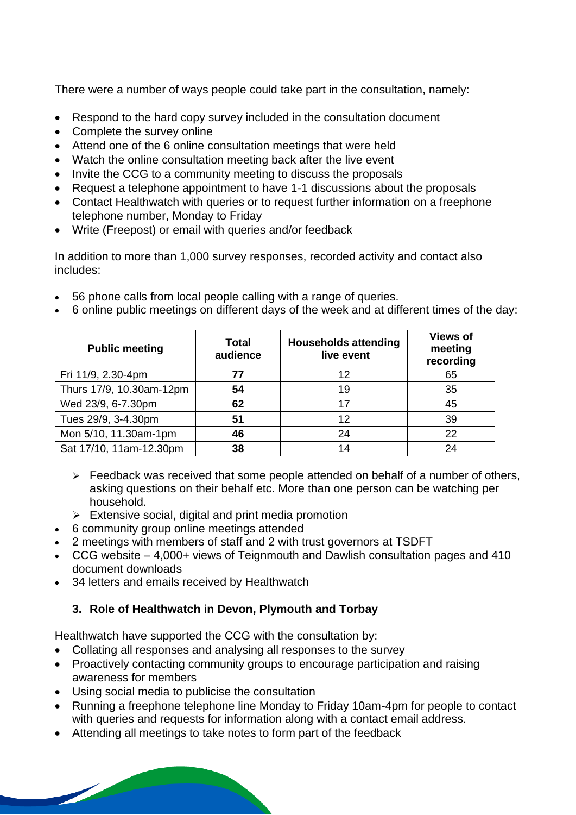There were a number of ways people could take part in the consultation, namely:

- Respond to the hard copy survey included in the consultation document
- Complete the survey online
- Attend one of the 6 online consultation meetings that were held
- Watch the online consultation meeting back after the live event
- Invite the CCG to a community meeting to discuss the proposals
- Request a telephone appointment to have 1-1 discussions about the proposals
- Contact Healthwatch with queries or to request further information on a freephone telephone number, Monday to Friday
- Write (Freepost) or email with queries and/or feedback

In addition to more than 1,000 survey responses, recorded activity and contact also includes:

- 56 phone calls from local people calling with a range of queries.
- 6 online public meetings on different days of the week and at different times of the day:

| <b>Public meeting</b>    | <b>Total</b><br>audience | <b>Households attending</b><br>live event | <b>Views of</b><br>meeting<br>recording |
|--------------------------|--------------------------|-------------------------------------------|-----------------------------------------|
| Fri 11/9, 2.30-4pm       | 77                       | 12                                        | 65                                      |
| Thurs 17/9, 10.30am-12pm | 54                       | 19                                        | 35                                      |
| Wed 23/9, 6-7.30pm       | 62                       | 17                                        | 45                                      |
| Tues 29/9, 3-4.30pm      | 51                       | 12                                        | 39                                      |
| Mon 5/10, 11.30am-1pm    | 46                       | 24                                        | 22                                      |
| Sat 17/10, 11am-12.30pm  | 38                       |                                           | 24                                      |

- $\triangleright$  Feedback was received that some people attended on behalf of a number of others, asking questions on their behalf etc. More than one person can be watching per household.
- $\triangleright$  Extensive social, digital and print media promotion
- 6 community group online meetings attended
- 2 meetings with members of staff and 2 with trust governors at TSDFT
- CCG website 4,000+ views of Teignmouth and Dawlish consultation pages and 410 document downloads
- 34 letters and emails received by Healthwatch

### **3. Role of Healthwatch in Devon, Plymouth and Torbay**

Healthwatch have supported the CCG with the consultation by:

- Collating all responses and analysing all responses to the survey
- Proactively contacting community groups to encourage participation and raising awareness for members
- Using social media to publicise the consultation

 $\overline{\phantom{a}}$ 

- Running a freephone telephone line Monday to Friday 10am-4pm for people to contact with queries and requests for information along with a contact email address.
- Attending all meetings to take notes to form part of the feedback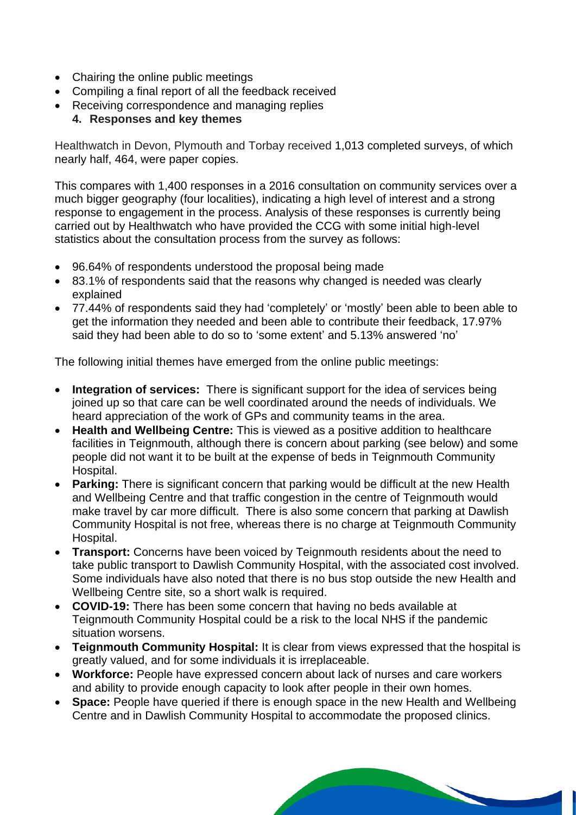- Chairing the online public meetings
- Compiling a final report of all the feedback received
- Receiving correspondence and managing replies

#### **4. Responses and key themes**

Healthwatch in Devon, Plymouth and Torbay received 1,013 completed surveys, of which nearly half, 464, were paper copies.

This compares with 1,400 responses in a 2016 consultation on community services over a much bigger geography (four localities), indicating a high level of interest and a strong response to engagement in the process. Analysis of these responses is currently being carried out by Healthwatch who have provided the CCG with some initial high-level statistics about the consultation process from the survey as follows:

- 96.64% of respondents understood the proposal being made
- 83.1% of respondents said that the reasons why changed is needed was clearly explained
- 77.44% of respondents said they had 'completely' or 'mostly' been able to been able to get the information they needed and been able to contribute their feedback, 17.97% said they had been able to do so to 'some extent' and 5.13% answered 'no'

The following initial themes have emerged from the online public meetings:

- **Integration of services:** There is significant support for the idea of services being joined up so that care can be well coordinated around the needs of individuals. We heard appreciation of the work of GPs and community teams in the area.
- **Health and Wellbeing Centre:** This is viewed as a positive addition to healthcare facilities in Teignmouth, although there is concern about parking (see below) and some people did not want it to be built at the expense of beds in Teignmouth Community Hospital.
- **Parking:** There is significant concern that parking would be difficult at the new Health and Wellbeing Centre and that traffic congestion in the centre of Teignmouth would make travel by car more difficult. There is also some concern that parking at Dawlish Community Hospital is not free, whereas there is no charge at Teignmouth Community Hospital.
- **Transport:** Concerns have been voiced by Teignmouth residents about the need to take public transport to Dawlish Community Hospital, with the associated cost involved. Some individuals have also noted that there is no bus stop outside the new Health and Wellbeing Centre site, so a short walk is required.
- **COVID-19:** There has been some concern that having no beds available at Teignmouth Community Hospital could be a risk to the local NHS if the pandemic situation worsens.
- **Teignmouth Community Hospital:** It is clear from views expressed that the hospital is greatly valued, and for some individuals it is irreplaceable.
- **Workforce:** People have expressed concern about lack of nurses and care workers and ability to provide enough capacity to look after people in their own homes.
- **Space:** People have queried if there is enough space in the new Health and Wellbeing Centre and in Dawlish Community Hospital to accommodate the proposed clinics.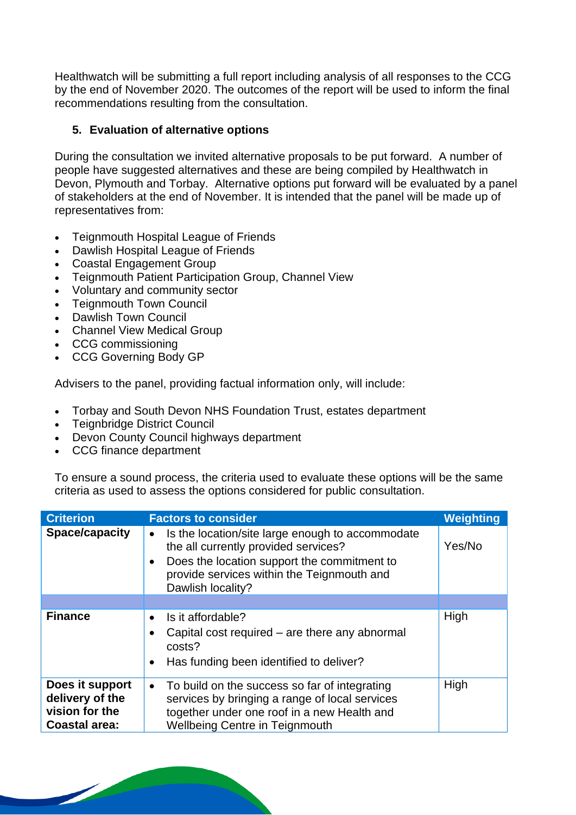Healthwatch will be submitting a full report including analysis of all responses to the CCG by the end of November 2020. The outcomes of the report will be used to inform the final recommendations resulting from the consultation.

#### **5. Evaluation of alternative options**

During the consultation we invited alternative proposals to be put forward. A number of people have suggested alternatives and these are being compiled by Healthwatch in Devon, Plymouth and Torbay. Alternative options put forward will be evaluated by a panel of stakeholders at the end of November. It is intended that the panel will be made up of representatives from:

- Teignmouth Hospital League of Friends
- Dawlish Hospital League of Friends
- Coastal Engagement Group
- Teignmouth Patient Participation Group, Channel View
- Voluntary and community sector
- Teignmouth Town Council
- Dawlish Town Council
- Channel View Medical Group
- CCG commissioning
- CCG Governing Body GP

Advisers to the panel, providing factual information only, will include:

- Torbay and South Devon NHS Foundation Trust, estates department
- Teignbridge District Council
- Devon County Council highways department
- CCG finance department

 $\overline{\phantom{a}}$ 

To ensure a sound process, the criteria used to evaluate these options will be the same criteria as used to assess the options considered for public consultation.

| <b>Criterion</b>                                                             | <b>Factors to consider</b>                                                                                                                                                                                                           | Weighting |
|------------------------------------------------------------------------------|--------------------------------------------------------------------------------------------------------------------------------------------------------------------------------------------------------------------------------------|-----------|
| Space/capacity                                                               | Is the location/site large enough to accommodate<br>$\bullet$<br>the all currently provided services?<br>Does the location support the commitment to<br>$\bullet$<br>provide services within the Teignmouth and<br>Dawlish locality? | Yes/No    |
|                                                                              |                                                                                                                                                                                                                                      |           |
| <b>Finance</b>                                                               | Is it affordable?<br>$\bullet$<br>Capital cost required – are there any abnormal<br>٠<br>costs?<br>Has funding been identified to deliver?<br>$\bullet$                                                                              | High      |
| Does it support<br>delivery of the<br>vision for the<br><b>Coastal area:</b> | To build on the success so far of integrating<br>$\bullet$<br>services by bringing a range of local services<br>together under one roof in a new Health and<br><b>Wellbeing Centre in Teignmouth</b>                                 | High      |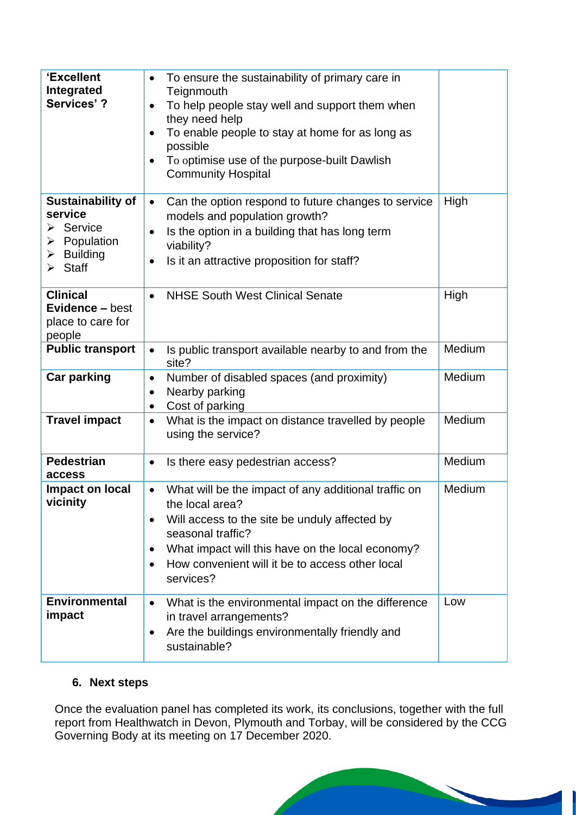| 'Excellent<br>Integrated<br>Services'?                                                                                                    | To ensure the sustainability of primary care in<br>$\bullet$<br>Teignmouth<br>To help people stay well and support them when<br>$\bullet$<br>they need help<br>To enable people to stay at home for as long as<br>$\bullet$<br>possible<br>To optimise use of the purpose-built Dawlish<br>$\bullet$<br><b>Community Hospital</b> |        |
|-------------------------------------------------------------------------------------------------------------------------------------------|-----------------------------------------------------------------------------------------------------------------------------------------------------------------------------------------------------------------------------------------------------------------------------------------------------------------------------------|--------|
| <b>Sustainability of</b><br>service<br>$\triangleright$ Service<br>Population<br>➤<br>$\triangleright$ Building<br>$\triangleright$ Staff | Can the option respond to future changes to service<br>$\bullet$<br>models and population growth?<br>Is the option in a building that has long term<br>$\bullet$<br>viability?<br>Is it an attractive proposition for staff?<br>$\bullet$                                                                                         | High   |
| <b>Clinical</b><br><b>Evidence – best</b><br>place to care for<br>people                                                                  | <b>NHSE South West Clinical Senate</b><br>$\bullet$                                                                                                                                                                                                                                                                               | High   |
| <b>Public transport</b>                                                                                                                   | Is public transport available nearby to and from the<br>site?                                                                                                                                                                                                                                                                     | Medium |
| Car parking                                                                                                                               | Number of disabled spaces (and proximity)<br>$\bullet$<br>Nearby parking<br>$\bullet$<br>Cost of parking<br>$\bullet$                                                                                                                                                                                                             | Medium |
| <b>Travel impact</b>                                                                                                                      | What is the impact on distance travelled by people<br>$\bullet$<br>using the service?                                                                                                                                                                                                                                             | Medium |
| <b>Pedestrian</b><br>access                                                                                                               | Is there easy pedestrian access?<br>$\bullet$                                                                                                                                                                                                                                                                                     | Medium |
| Impact on local<br>vicinity                                                                                                               | What will be the impact of any additional traffic on<br>$\bullet$<br>the local area?<br>Will access to the site be unduly affected by<br>seasonal traffic?<br>What impact will this have on the local economy?<br>٠<br>How convenient will it be to access other local<br>$\bullet$<br>services?                                  | Medium |
| <b>Environmental</b><br>impact                                                                                                            | What is the environmental impact on the difference<br>$\bullet$<br>in travel arrangements?<br>Are the buildings environmentally friendly and<br>$\bullet$<br>sustainable?                                                                                                                                                         | Low    |

#### **6. Next steps**

Once the evaluation panel has completed its work, its conclusions, together with the full report from Healthwatch in Devon, Plymouth and Torbay, will be considered by the CCG Governing Body at its meeting on 17 December 2020.